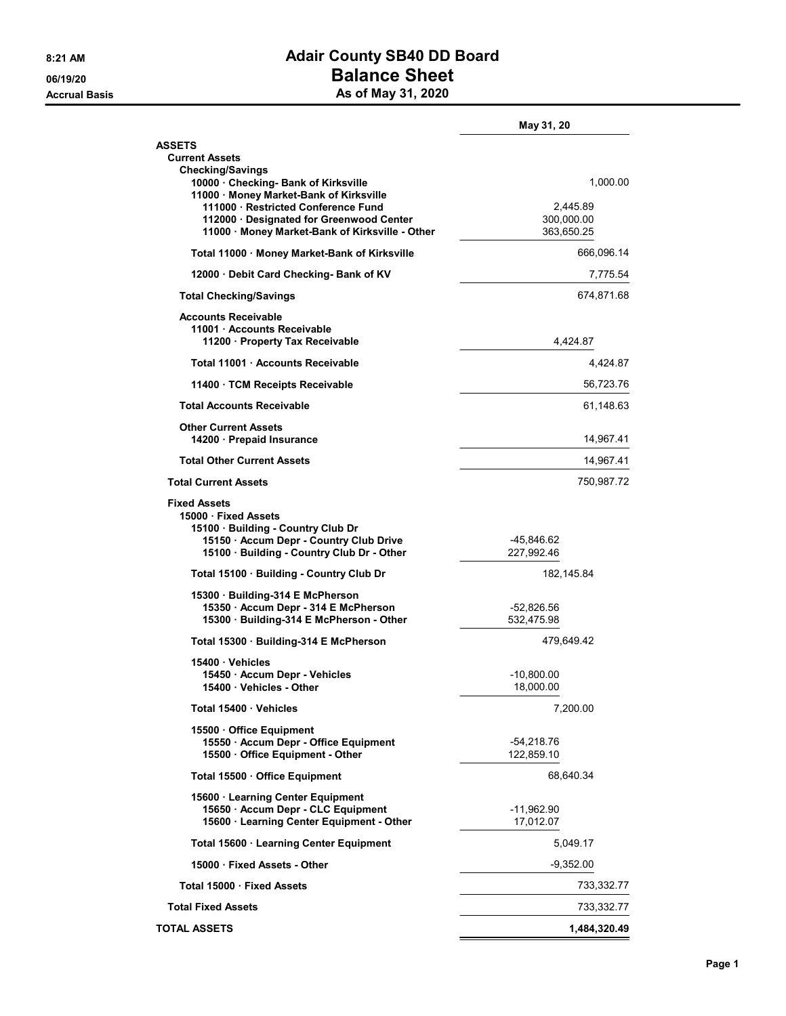## 8:21 AM **Adair County SB40 DD Board** 06/19/20 **Balance Sheet** Accrual Basis **Accrual Basis** As of May 31, 2020

|                                                                                                                                                                        | May 31, 20               |
|------------------------------------------------------------------------------------------------------------------------------------------------------------------------|--------------------------|
| ASSETS                                                                                                                                                                 |                          |
| <b>Current Assets</b>                                                                                                                                                  |                          |
| <b>Checking/Savings</b><br>10000 · Checking- Bank of Kirksville<br>11000 · Money Market-Bank of Kirksville                                                             | 1,000.00                 |
| 111000 · Restricted Conference Fund                                                                                                                                    | 2,445.89                 |
| 112000 Designated for Greenwood Center<br>11000 Money Market-Bank of Kirksville - Other                                                                                | 300,000.00<br>363,650.25 |
| Total 11000 · Money Market-Bank of Kirksville                                                                                                                          | 666,096.14               |
| 12000 Debit Card Checking- Bank of KV                                                                                                                                  | 7,775.54                 |
| <b>Total Checking/Savings</b>                                                                                                                                          | 674,871.68               |
| <b>Accounts Receivable</b><br>11001 Accounts Receivable<br>11200 · Property Tax Receivable                                                                             | 4,424.87                 |
| Total 11001 Accounts Receivable                                                                                                                                        | 4,424.87                 |
| 11400 · TCM Receipts Receivable                                                                                                                                        | 56,723.76                |
| <b>Total Accounts Receivable</b>                                                                                                                                       | 61,148.63                |
| <b>Other Current Assets</b><br>14200 Prepaid Insurance                                                                                                                 | 14,967.41                |
| <b>Total Other Current Assets</b>                                                                                                                                      | 14,967.41                |
| <b>Total Current Assets</b>                                                                                                                                            | 750,987.72               |
| <b>Fixed Assets</b><br>15000 Fixed Assets<br>15100 Building - Country Club Dr<br>15150 · Accum Depr - Country Club Drive<br>15100 · Building - Country Club Dr - Other | -45,846.62<br>227,992.46 |
| Total 15100 Building - Country Club Dr                                                                                                                                 | 182,145.84               |
| 15300 Building-314 E McPherson                                                                                                                                         |                          |
| 15350 · Accum Depr - 314 E McPherson<br>15300 · Building-314 E McPherson - Other                                                                                       | -52,826.56<br>532,475.98 |
| Total 15300 · Building-314 E McPherson                                                                                                                                 | 479,649.42               |
| 15400 Vehicles                                                                                                                                                         |                          |
| 15450 · Accum Depr - Vehicles                                                                                                                                          | $-10,800.00$             |
| 15400 Vehicles - Other                                                                                                                                                 | 18,000.00                |
| Total 15400 Vehicles                                                                                                                                                   | 7,200.00                 |
| 15500 Office Equipment<br>15550 · Accum Depr - Office Equipment<br>15500 Office Equipment - Other                                                                      | -54,218.76<br>122,859.10 |
| Total 15500 · Office Equipment                                                                                                                                         | 68,640.34                |
| 15600 · Learning Center Equipment                                                                                                                                      |                          |
| 15650 · Accum Depr - CLC Equipment<br>15600 · Learning Center Equipment - Other                                                                                        | -11,962.90<br>17,012.07  |
| Total 15600 · Learning Center Equipment                                                                                                                                | 5,049.17                 |
| 15000 Fixed Assets - Other                                                                                                                                             | $-9,352.00$              |
| Total 15000 · Fixed Assets                                                                                                                                             | 733,332.77               |
| <b>Total Fixed Assets</b>                                                                                                                                              | 733,332.77               |
| <b>TOTAL ASSETS</b>                                                                                                                                                    | 1,484,320.49             |